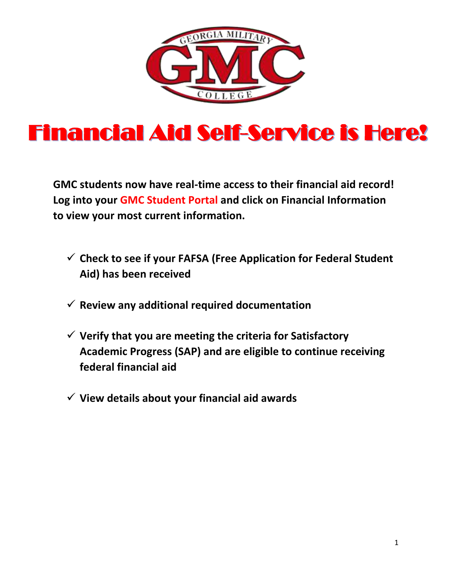

# Financial Aid Self-Service is Here!

**GMC students now have real-time access to their financial aid record! Log into your GMC Student Portal and click on Financial Information to view your most current information.** 

- **Check to see if your FAFSA (Free Application for Federal Student Aid) has been received**
- **Review any additional required documentation**
- **Verify that you are meeting the criteria for Satisfactory Academic Progress (SAP) and are eligible to continue receiving federal financial aid**
- **View details about your financial aid awards**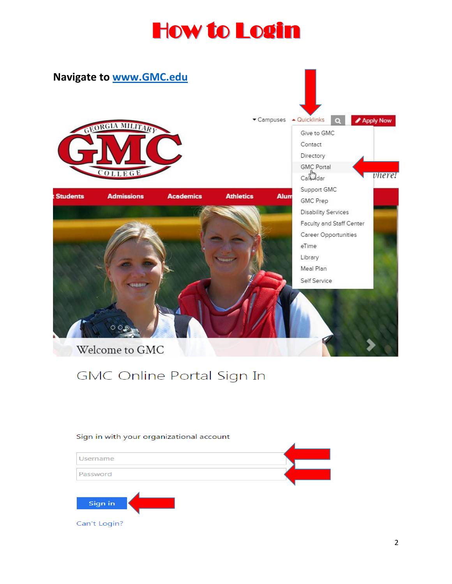## How to Login



#### GMC Online Portal Sign In

#### Sign in with your organizational account

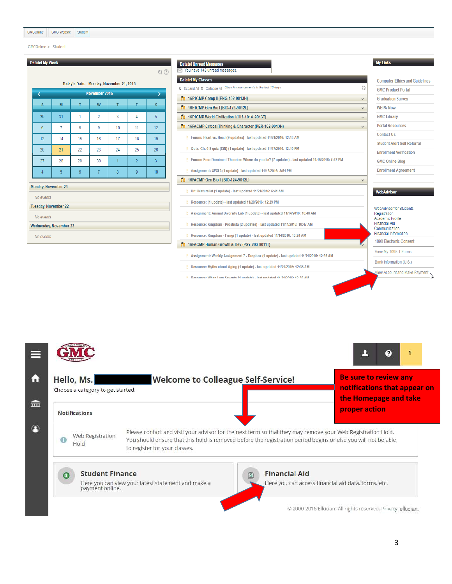$GMCOnline > Student$ 

| ₹              |                      |                | November 2016   |                |                | >                       |
|----------------|----------------------|----------------|-----------------|----------------|----------------|-------------------------|
| $\mathbf{s}$   | M                    | T              | W               | T              | F              | $\overline{\mathbf{s}}$ |
| 30             | 31                   | 1              | $\overline{2}$  | 3              | 4              | 5                       |
| $6\phantom{1}$ | $\overline{7}$       | 8              | 9               | 10             | 11             | 12                      |
| 13             | 14                   | 15             | 16              | 17             | 18             | 19                      |
| 20             | 21                   | 22             | 23              | 24             | 25             | 26                      |
| 27             | 28                   | 29             | 30              | $\overline{1}$ | $\overline{2}$ | $\overline{3}$          |
| $\overline{4}$ | 5 <sup>5</sup>       | $6\phantom{.}$ | $7\overline{ }$ | 8              | 9              | 10 <sub>1</sub>         |
| No events      | Monday, November 21  |                |                 |                |                |                         |
|                | Tuesday, November 22 |                |                 |                |                |                         |
| No events      |                      |                |                 |                |                |                         |

|                                                                                                 | <b>My Links</b>                                           |
|-------------------------------------------------------------------------------------------------|-----------------------------------------------------------|
| <b>Datatel Unread Messages</b><br>You have 143 unread messages.                                 |                                                           |
| <b>Datatel My Classes</b>                                                                       | <b>Computer Ethics and Guidelines</b>                     |
| Fixpand All < Collapse All Class Announcements in the last 10 days<br>6                         | <b>GMC Product Portal</b>                                 |
| <b>m</b> 16F1CMP Comp II (ENG-102-9013H)<br>v                                                   | <b>Graduation Survey</b>                                  |
| 10 16F1CMP Gen Bio I (BIO-123-9012L)<br>$\vee$                                                  | <b>WEPA Now</b>                                           |
| 16F1CMP World Civilization I (HIS-101A-9013T)<br>$\checkmark$                                   | <b>GMC Library</b>                                        |
| 10 16FACMP Critical Thinking & Character (PER-102-9013H)<br>$\checkmark$                        | <b>Portal Resources</b>                                   |
| Forum: Heart vs. Head (9 updates) - last updated 11/21/2016: 12:13 AM                           | <b>Contact Us</b>                                         |
| Quiz: Ch. 6-9 quiz (EiN) (1 update) - last updated 11/17/2016: 12:10 PM<br>٠                    | <b>Student Alert Self Referral</b>                        |
|                                                                                                 | <b>Enrollment Verification</b>                            |
| Forum: Four Dominant Theories: Where do you lie? (7 updates) - last updated 11/15/2016; 7:47 PM | <b>GMC Online Blog</b>                                    |
| Assignment: SEXI 3 (1 update) - last updated 11/15/2016: 3:54 PM                                | <b>Enrollment Agreement</b>                               |
| 16FACMP Gen Bio II (BIO-124-9012L)<br>$\checkmark$                                              |                                                           |
| Url: iNaturalist (1 update) - last updated 11/21/2016: 6:41 AM                                  | <b>WebAdvisor</b>                                         |
| Resource: (1 update) - last updated 11/20/2016: 12:29 PM                                        |                                                           |
| Assignment: Animal Diversity Lab (1 update) - last updated 11/14/2016: 10:48 AM                 | <b>WebAdvisor for Students</b><br>Registration            |
| Resource: Kingdom - Prostista (2 updates) - last updated 11/14/2016: 10:47 AM                   | Academic Profile<br><b>Financial Aid</b><br>Communication |
| Resource: Kingdom - Fungi (1 update) - last updated 11/14/2016: 10:24 AM                        | <b>Financial Information</b>                              |
| 10 16FACMP Human Growth & Dev (PSY-203-9011T)<br>x,                                             | 1098 Electronic Consent                                   |
| Assignment: Weekly Assignment 7 - Dropbox (1 update) - last updated 11/21/2016: 12:35 AM        | View My 1098-T Forms                                      |
| Resource: Myths about Aging (1 update) - last updated 11/21/2016: 12:35 AM                      | Bank Information (U.S.)                                   |
| Decourse: When I am Seventy (1 undate) - last undated 11/21/2016; 12:35 AM                      | <b>View Account and Make Payment</b>                      |

|     | Hello, Ms.<br>Choose a category to get started. | <b>Welcome to Colleague Self-Service!</b>                                                                                                                                                                                     | <b>Be sure to review any</b><br>notifications that appear on<br>the Homepage and take |
|-----|-------------------------------------------------|-------------------------------------------------------------------------------------------------------------------------------------------------------------------------------------------------------------------------------|---------------------------------------------------------------------------------------|
|     | <b>Notifications</b><br>Web Registration        | Please contact and visit your advisor for the next term so that they may remove your Web Registration Hold.<br>You should ensure that this hold is removed before the registration period begins or else you will not be able | proper action                                                                         |
| G B | Hold                                            | to register for your classes.                                                                                                                                                                                                 |                                                                                       |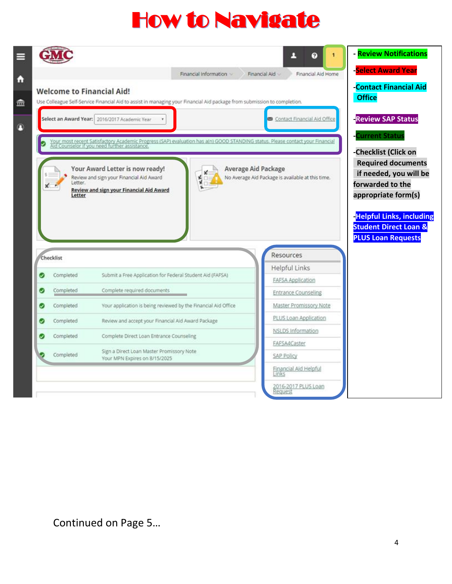# How to Navigate

| <b>Contact Financial Aid</b><br><b>Office</b><br>Use Colleague Self-Service Financial Aid to assist in managing your Financial Aid package from submission to completion.                              |
|--------------------------------------------------------------------------------------------------------------------------------------------------------------------------------------------------------|
|                                                                                                                                                                                                        |
|                                                                                                                                                                                                        |
| <b>Review SAP Status</b><br><b>Contact Financial Aid Office</b>                                                                                                                                        |
| <b>Current Status</b>                                                                                                                                                                                  |
| Your most recent Satisfactory Academic Progress (SAP) evaluation has a(n) GOOD STANDING status. Please contact your Financial<br>Ald Counselor if you need further assistance.<br>-Checklist (Click on |
| <b>Required documents</b>                                                                                                                                                                              |
| if needed, you will be                                                                                                                                                                                 |
| No Average Aid Package is available at this time.<br>forwarded to the                                                                                                                                  |
| appropriate form(s)                                                                                                                                                                                    |
| <b>-Helpful Links, including</b>                                                                                                                                                                       |
| <b>Student Direct Loan &amp;</b><br><b>PLUS Loan Requests</b>                                                                                                                                          |
| Resources                                                                                                                                                                                              |
| Helpful Links                                                                                                                                                                                          |
| FAFSA Application                                                                                                                                                                                      |
| <b>Entrance Counseling</b>                                                                                                                                                                             |
| Master Promissory Note                                                                                                                                                                                 |
| PLUS Loan Application                                                                                                                                                                                  |
| NSLDS Information                                                                                                                                                                                      |
| FAFSA4Caster                                                                                                                                                                                           |
|                                                                                                                                                                                                        |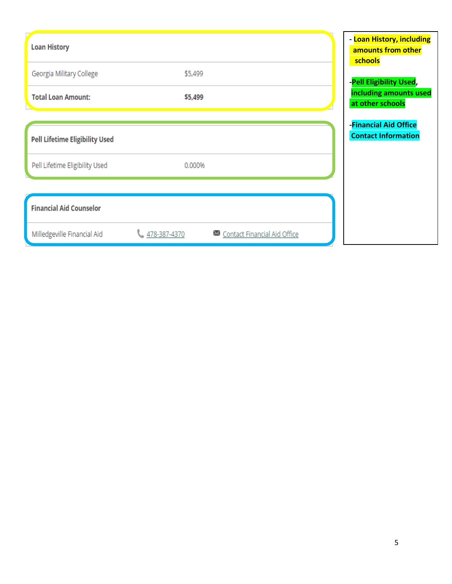| <b>Loan History</b>                   |              |                              | - Loan History, including<br>amounts from other<br>schools |
|---------------------------------------|--------------|------------------------------|------------------------------------------------------------|
| Georgia Military College              | \$5,499      |                              | -Pell Eligibility Used,                                    |
| <b>Total Loan Amount:</b>             | \$5,499      |                              | including amounts used<br>at other schools                 |
|                                       |              |                              | -Financial Aid Office                                      |
| <b>Pell Lifetime Eligibility Used</b> |              |                              | <b>Contact Information</b>                                 |
| Pell Lifetime Eligibility Used        | 0.000%       |                              |                                                            |
|                                       |              |                              |                                                            |
| <b>Financial Aid Counselor</b>        |              |                              |                                                            |
| Milledgeville Financial Aid           | 478-387-4370 | Contact Financial Aid Office |                                                            |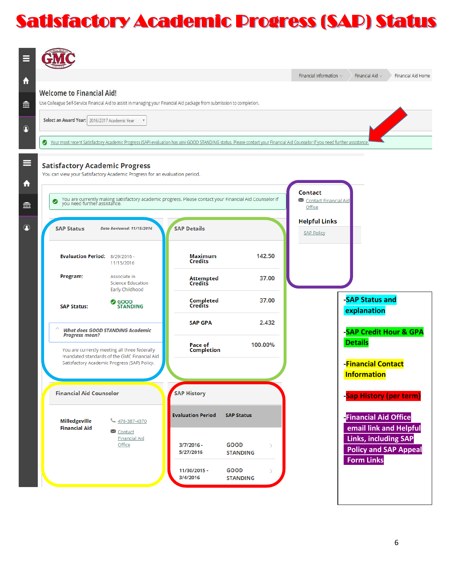## Satisfactory Academic Progress (SAP) Status

|                                                                                                                                                              |                                                                                                                                         |                              |                                                                                                                                                                            | Financial Information v         | Financial Aid Home<br>Financial Aid $\vee$        |
|--------------------------------------------------------------------------------------------------------------------------------------------------------------|-----------------------------------------------------------------------------------------------------------------------------------------|------------------------------|----------------------------------------------------------------------------------------------------------------------------------------------------------------------------|---------------------------------|---------------------------------------------------|
| <b>Welcome to Financial Aid!</b><br>Use Colleague Self-Service Financial Aid to assist in managing your Financial Aid package from submission to completion. |                                                                                                                                         |                              |                                                                                                                                                                            |                                 |                                                   |
| Select an Award Year: 2016/2017 Academic Year                                                                                                                |                                                                                                                                         |                              |                                                                                                                                                                            |                                 |                                                   |
| Ø                                                                                                                                                            |                                                                                                                                         |                              | Your most recent Satisfactory Academic Progress (SAP) evaluation has a(n) GOOD STANDING status. Please contact your Financial Aid Counselor if you need further assistance |                                 |                                                   |
|                                                                                                                                                              |                                                                                                                                         |                              |                                                                                                                                                                            |                                 |                                                   |
| <b>Satisfactory Academic Progress</b><br>You can view your Satisfactory Academic Progress for an evaluation period.                                          |                                                                                                                                         |                              |                                                                                                                                                                            |                                 |                                                   |
|                                                                                                                                                              |                                                                                                                                         |                              |                                                                                                                                                                            | Contact                         |                                                   |
| ☑                                                                                                                                                            | You are currently making satisfactory academic progress. Please contact your Financial Aid Counselor if<br>you need further assistance. |                              |                                                                                                                                                                            | Contact Financial Aid<br>Office |                                                   |
| <b>SAP Status</b>                                                                                                                                            | <b>Date Reviewed: 11/15/2016</b>                                                                                                        | <b>SAP Details</b>           |                                                                                                                                                                            | <b>Helpful Links</b>            |                                                   |
|                                                                                                                                                              |                                                                                                                                         |                              |                                                                                                                                                                            | <b>SAP Policy</b>               |                                                   |
| Evaluation Period: 8/29/2016 -                                                                                                                               | 11/15/2016                                                                                                                              | <b>Maximum</b><br>Credits    | 142.50                                                                                                                                                                     |                                 |                                                   |
| Program:                                                                                                                                                     | Associate in<br><b>Science Education</b><br>Early Childhood                                                                             | Attempted<br>Credits         | 37.00                                                                                                                                                                      |                                 |                                                   |
| <b>SAP Status:</b>                                                                                                                                           | <b>O</b> GOOD<br><b>STANDING</b>                                                                                                        | Completed<br>Credits         | 37.00                                                                                                                                                                      |                                 | -SAP Status and<br>explanation                    |
| <b>Progress mean?</b>                                                                                                                                        | <b>What does GOOD STANDING Academic</b>                                                                                                 | <b>SAP GPA</b>               | 2.432                                                                                                                                                                      |                                 | -SAP Credit Hour & GPA                            |
|                                                                                                                                                              | You are currently meeting all three federally                                                                                           | Pace of<br><b>Completion</b> | 100.00%                                                                                                                                                                    |                                 | <b>Details</b>                                    |
|                                                                                                                                                              | mandated standards of the GMC Financial Aid<br>Satisfactory Academic Progress (SAP) Policy.                                             |                              |                                                                                                                                                                            |                                 | <b>-Financial Contact</b>                         |
|                                                                                                                                                              |                                                                                                                                         |                              |                                                                                                                                                                            |                                 | <b>Information</b>                                |
| <b>Financial Aid Counselor</b>                                                                                                                               |                                                                                                                                         | <b>SAP History</b>           |                                                                                                                                                                            |                                 | -Sap History (per term)                           |
|                                                                                                                                                              |                                                                                                                                         | <b>Evaluation Period</b>     | <b>SAP Status</b>                                                                                                                                                          |                                 | <b>Financial Aid Office</b>                       |
|                                                                                                                                                              | 478-387-4370<br>Contact                                                                                                                 |                              |                                                                                                                                                                            |                                 | email link and Helpful                            |
| Milledgeville<br><b>Financial Aid</b>                                                                                                                        |                                                                                                                                         |                              |                                                                                                                                                                            |                                 | <b>Links, including SAP</b>                       |
|                                                                                                                                                              | <b>Financial Aid</b><br>Office                                                                                                          | $3/7/2016 -$<br>5/27/2016    | <b>GOOD</b><br>$\rightarrow$<br><b>STANDING</b>                                                                                                                            |                                 | <b>Policy and SAP Appeal</b><br><b>Form Links</b> |